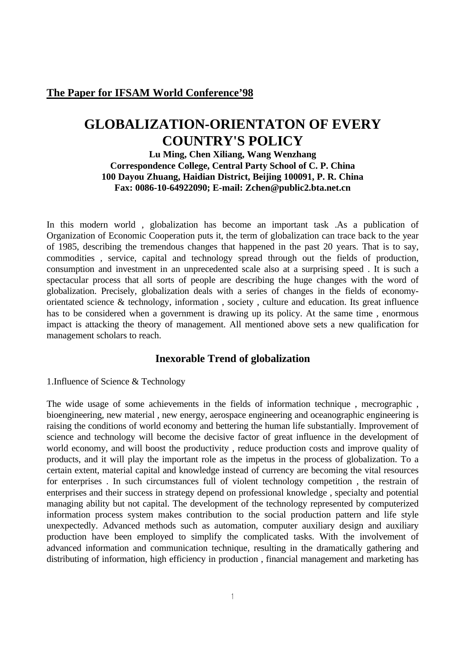## **The Paper for IFSAM World Conference'98**

# **GLOBALIZATION-ORIENTATON OF EVERY COUNTRY'S POLICY**

## **Lu Ming, Chen Xiliang, Wang Wenzhang Correspondence College, Central Party School of C. P. China 100 Dayou Zhuang, Haidian District, Beijing 100091, P. R. China Fax: 0086-10-64922090; E-mail: Zchen@public2.bta.net.cn**

In this modern world , globalization has become an important task .As a publication of Organization of Economic Cooperation puts it, the term of globalization can trace back to the year of 1985, describing the tremendous changes that happened in the past 20 years. That is to say, commodities , service, capital and technology spread through out the fields of production, consumption and investment in an unprecedented scale also at a surprising speed . It is such a spectacular process that all sorts of people are describing the huge changes with the word of globalization. Precisely, globalization deals with a series of changes in the fields of economyorientated science & technology, information , society , culture and education. Its great influence has to be considered when a government is drawing up its policy. At the same time , enormous impact is attacking the theory of management. All mentioned above sets a new qualification for management scholars to reach.

## **Inexorable Trend of globalization**

1.Influence of Science & Technology

The wide usage of some achievements in the fields of information technique , mecrographic , bioengineering, new material , new energy, aerospace engineering and oceanographic engineering is raising the conditions of world economy and bettering the human life substantially. Improvement of science and technology will become the decisive factor of great influence in the development of world economy, and will boost the productivity , reduce production costs and improve quality of products, and it will play the important role as the impetus in the process of globalization. To a certain extent, material capital and knowledge instead of currency are becoming the vital resources for enterprises . In such circumstances full of violent technology competition , the restrain of enterprises and their success in strategy depend on professional knowledge , specialty and potential managing ability but not capital. The development of the technology represented by computerized information process system makes contribution to the social production pattern and life style unexpectedly. Advanced methods such as automation, computer auxiliary design and auxiliary production have been employed to simplify the complicated tasks. With the involvement of advanced information and communication technique, resulting in the dramatically gathering and distributing of information, high efficiency in production , financial management and marketing has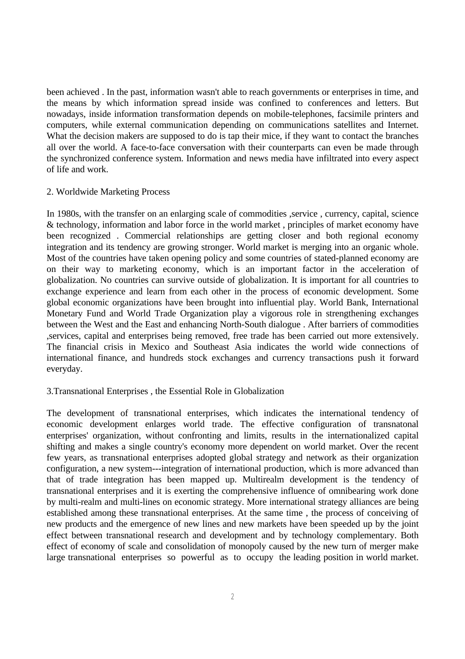been achieved . In the past, information wasn't able to reach governments or enterprises in time, and the means by which information spread inside was confined to conferences and letters. But nowadays, inside information transformation depends on mobile-telephones, facsimile printers and computers, while external communication depending on communications satellites and Internet. What the decision makers are supposed to do is tap their mice, if they want to contact the branches all over the world. A face-to-face conversation with their counterparts can even be made through the synchronized conference system. Information and news media have infiltrated into every aspect of life and work.

#### 2. Worldwide Marketing Process

In 1980s, with the transfer on an enlarging scale of commodities ,service , currency, capital, science & technology, information and labor force in the world market , principles of market economy have been recognized . Commercial relationships are getting closer and both regional economy integration and its tendency are growing stronger. World market is merging into an organic whole. Most of the countries have taken opening policy and some countries of stated-planned economy are on their way to marketing economy, which is an important factor in the acceleration of globalization. No countries can survive outside of globalization. It is important for all countries to exchange experience and learn from each other in the process of economic development. Some global economic organizations have been brought into influential play. World Bank, International Monetary Fund and World Trade Organization play a vigorous role in strengthening exchanges between the West and the East and enhancing North-South dialogue . After barriers of commodities ,services, capital and enterprises being removed, free trade has been carried out more extensively. The financial crisis in Mexico and Southeast Asia indicates the world wide connections of international finance, and hundreds stock exchanges and currency transactions push it forward everyday.

### 3.Transnational Enterprises , the Essential Role in Globalization

The development of transnational enterprises, which indicates the international tendency of economic development enlarges world trade. The effective configuration of transnatonal enterprises' organization, without confronting and limits, results in the internationalized capital shifting and makes a single country's economy more dependent on world market. Over the recent few years, as transnational enterprises adopted global strategy and network as their organization configuration, a new system---integration of international production, which is more advanced than that of trade integration has been mapped up. Multirealm development is the tendency of transnational enterprises and it is exerting the comprehensive influence of omnibearing work done by multi-realm and multi-lines on economic strategy. More international strategy alliances are being established among these transnational enterprises. At the same time , the process of conceiving of new products and the emergence of new lines and new markets have been speeded up by the joint effect between transnational research and development and by technology complementary. Both effect of economy of scale and consolidation of monopoly caused by the new turn of merger make large transnational enterprises so powerful as to occupy the leading position in world market.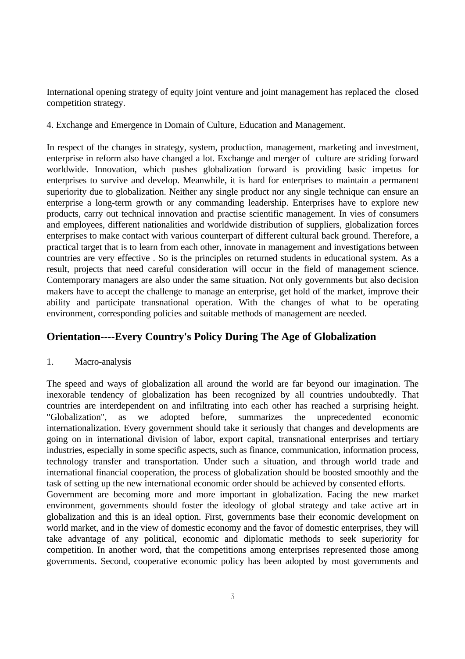International opening strategy of equity joint venture and joint management has replaced the closed competition strategy.

4. Exchange and Emergence in Domain of Culture, Education and Management.

In respect of the changes in strategy, system, production, management, marketing and investment, enterprise in reform also have changed a lot. Exchange and merger of culture are striding forward worldwide. Innovation, which pushes globalization forward is providing basic impetus for enterprises to survive and develop. Meanwhile, it is hard for enterprises to maintain a permanent superiority due to globalization. Neither any single product nor any single technique can ensure an enterprise a long-term growth or any commanding leadership. Enterprises have to explore new products, carry out technical innovation and practise scientific management. In vies of consumers and employees, different nationalities and worldwide distribution of suppliers, globalization forces enterprises to make contact with various counterpart of different cultural back ground. Therefore, a practical target that is to learn from each other, innovate in management and investigations between countries are very effective . So is the principles on returned students in educational system. As a result, projects that need careful consideration will occur in the field of management science. Contemporary managers are also under the same situation. Not only governments but also decision makers have to accept the challenge to manage an enterprise, get hold of the market, improve their ability and participate transnational operation. With the changes of what to be operating environment, corresponding policies and suitable methods of management are needed.

# **Orientation----Every Country's Policy During The Age of Globalization**

### 1. Macro-analysis

The speed and ways of globalization all around the world are far beyond our imagination. The inexorable tendency of globalization has been recognized by all countries undoubtedly. That countries are interdependent on and infiltrating into each other has reached a surprising height. "Globalization", as we adopted before, summarizes the unprecedented economic internationalization. Every government should take it seriously that changes and developments are going on in international division of labor, export capital, transnational enterprises and tertiary industries, especially in some specific aspects, such as finance, communication, information process, technology transfer and transportation. Under such a situation, and through world trade and international financial cooperation, the process of globalization should be boosted smoothly and the task of setting up the new international economic order should be achieved by consented efforts. Government are becoming more and more important in globalization. Facing the new market environment, governments should foster the ideology of global strategy and take active art in globalization and this is an ideal option. First, governments base their economic development on world market, and in the view of domestic economy and the favor of domestic enterprises, they will take advantage of any political, economic and diplomatic methods to seek superiority for competition. In another word, that the competitions among enterprises represented those among governments. Second, cooperative economic policy has been adopted by most governments and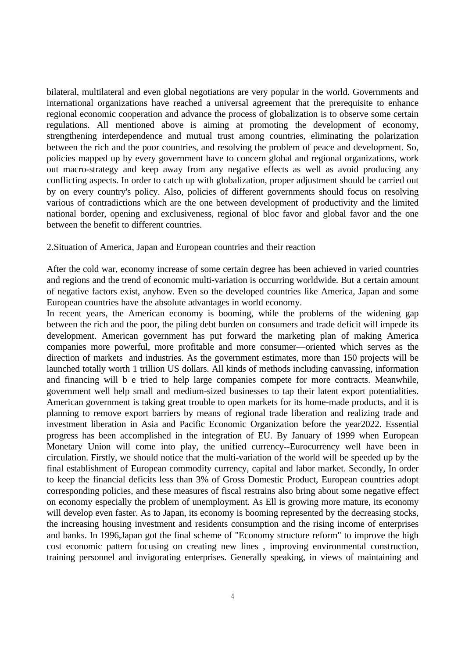bilateral, multilateral and even global negotiations are very popular in the world. Governments and international organizations have reached a universal agreement that the prerequisite to enhance regional economic cooperation and advance the process of globalization is to observe some certain regulations. All mentioned above is aiming at promoting the development of economy, strengthening interdependence and mutual trust among countries, eliminating the polarization between the rich and the poor countries, and resolving the problem of peace and development. So, policies mapped up by every government have to concern global and regional organizations, work out macro-strategy and keep away from any negative effects as well as avoid producing any conflicting aspects. In order to catch up with globalization, proper adjustment should be carried out by on every country's policy. Also, policies of different governments should focus on resolving various of contradictions which are the one between development of productivity and the limited national border, opening and exclusiveness, regional of bloc favor and global favor and the one between the benefit to different countries.

#### 2.Situation of America, Japan and European countries and their reaction

After the cold war, economy increase of some certain degree has been achieved in varied countries and regions and the trend of economic multi-variation is occurring worldwide. But a certain amount of negative factors exist, anyhow. Even so the developed countries like America, Japan and some European countries have the absolute advantages in world economy.

In recent years, the American economy is booming, while the problems of the widening gap between the rich and the poor, the piling debt burden on consumers and trade deficit will impede its development. American government has put forward the marketing plan of making America companies more powerful, more profitable and more consumer—oriented which serves as the direction of markets and industries. As the government estimates, more than 150 projects will be launched totally worth 1 trillion US dollars. All kinds of methods including canvassing, information and financing will b e tried to help large companies compete for more contracts. Meanwhile, government well help small and medium-sized businesses to tap their latent export potentialities. American government is taking great trouble to open markets for its home-made products, and it is planning to remove export barriers by means of regional trade liberation and realizing trade and investment liberation in Asia and Pacific Economic Organization before the year2022. Essential progress has been accomplished in the integration of EU. By January of 1999 when European Monetary Union will come into play, the unified currency--Eurocurrency well have been in circulation. Firstly, we should notice that the multi-variation of the world will be speeded up by the final establishment of European commodity currency, capital and labor market. Secondly, In order to keep the financial deficits less than 3% of Gross Domestic Product, European countries adopt corresponding policies, and these measures of fiscal restrains also bring about some negative effect on economy especially the problem of unemployment. As Ell is growing more mature, its economy will develop even faster. As to Japan, its economy is booming represented by the decreasing stocks, the increasing housing investment and residents consumption and the rising income of enterprises and banks. In 1996,Japan got the final scheme of "Economy structure reform" to improve the high cost economic pattern focusing on creating new lines , improving environmental construction, training personnel and invigorating enterprises. Generally speaking, in views of maintaining and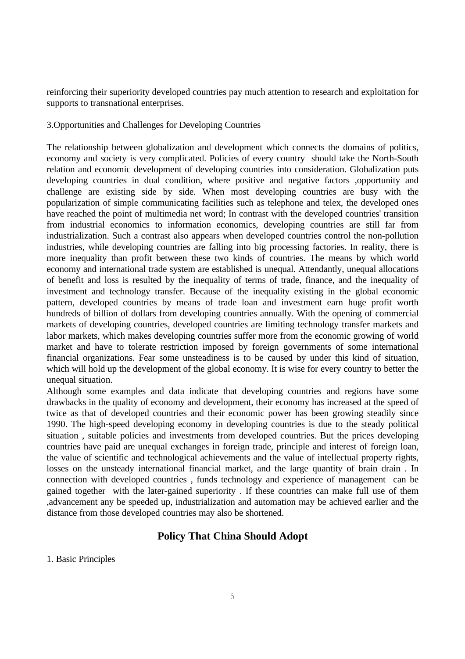reinforcing their superiority developed countries pay much attention to research and exploitation for supports to transnational enterprises.

3.Opportunities and Challenges for Developing Countries

The relationship between globalization and development which connects the domains of politics, economy and society is very complicated. Policies of every country should take the North-South relation and economic development of developing countries into consideration. Globalization puts developing countries in dual condition, where positive and negative factors ,opportunity and challenge are existing side by side. When most developing countries are busy with the popularization of simple communicating facilities such as telephone and telex, the developed ones have reached the point of multimedia net word; In contrast with the developed countries' transition from industrial economics to information economics, developing countries are still far from industrialization. Such a contrast also appears when developed countries control the non-pollution industries, while developing countries are falling into big processing factories. In reality, there is more inequality than profit between these two kinds of countries. The means by which world economy and international trade system are established is unequal. Attendantly, unequal allocations of benefit and loss is resulted by the inequality of terms of trade, finance, and the inequality of investment and technology transfer. Because of the inequality existing in the global economic pattern, developed countries by means of trade loan and investment earn huge profit worth hundreds of billion of dollars from developing countries annually. With the opening of commercial markets of developing countries, developed countries are limiting technology transfer markets and labor markets, which makes developing countries suffer more from the economic growing of world market and have to tolerate restriction imposed by foreign governments of some international financial organizations. Fear some unsteadiness is to be caused by under this kind of situation, which will hold up the development of the global economy. It is wise for every country to better the unequal situation.

Although some examples and data indicate that developing countries and regions have some drawbacks in the quality of economy and development, their economy has increased at the speed of twice as that of developed countries and their economic power has been growing steadily since 1990. The high-speed developing economy in developing countries is due to the steady political situation , suitable policies and investments from developed countries. But the prices developing countries have paid are unequal exchanges in foreign trade, principle and interest of foreign loan, the value of scientific and technological achievements and the value of intellectual property rights, losses on the unsteady international financial market, and the large quantity of brain drain. In connection with developed countries , funds technology and experience of management can be gained together with the later-gained superiority . If these countries can make full use of them ,advancement any be speeded up, industrialization and automation may be achieved earlier and the distance from those developed countries may also be shortened.

# **Policy That China Should Adopt**

1. Basic Principles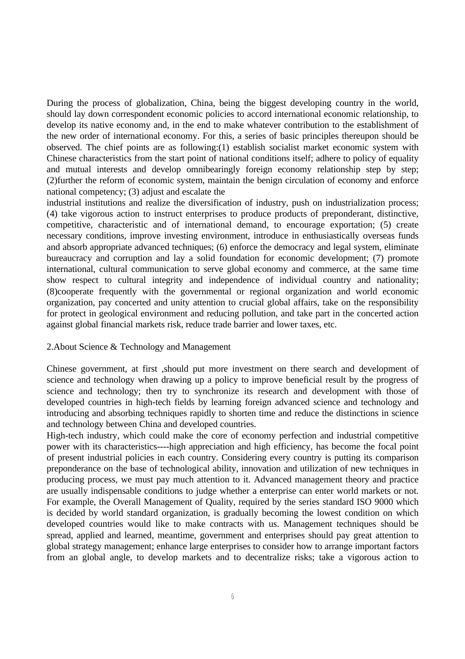During the process of globalization, China, being the biggest developing country in the world, should lay down correspondent economic policies to accord international economic relationship, to develop its native economy and, in the end to make whatever contribution to the establishment of the new order of international economy. For this, a series of basic principles thereupon should be observed. The chief points are as following:(1) establish socialist market economic system with Chinese characteristics from the start point of national conditions itself; adhere to policy of equality and mutual interests and develop omnibearingly foreign economy relationship step by step; (2)further the reform of economic system, maintain the benign circulation of economy and enforce national competency; (3) adjust and escalate the

industrial institutions and realize the diversification of industry, push on industrialization process; (4) take vigorous action to instruct enterprises to produce products of preponderant, distinctive, competitive, characteristic and of international demand, to encourage exportation; (5) create necessary conditions, improve investing environment, introduce in enthusiastically overseas funds and absorb appropriate advanced techniques; (6) enforce the democracy and legal system, eliminate bureaucracy and corruption and lay a solid foundation for economic development; (7) promote international, cultural communication to serve global economy and commerce, at the same time show respect to cultural integrity and independence of individual country and nationality; (8)cooperate frequently with the governmental or regional organization and world economic organization, pay concerted and unity attention to crucial global affairs, take on the responsibility for protect in geological environment and reducing pollution, and take part in the concerted action against global financial markets risk, reduce trade barrier and lower taxes, etc.

#### 2.About Science & Technology and Management

Chinese government, at first ,should put more investment on there search and development of science and technology when drawing up a policy to improve beneficial result by the progress of science and technology; then try to synchronize its research and development with those of developed countries in high-tech fields by learning foreign advanced science and technology and introducing and absorbing techniques rapidly to shorten time and reduce the distinctions in science and technology between China and developed countries.

High-tech industry, which could make the core of economy perfection and industrial competitive power with its characteristics----high appreciation and high efficiency, has become the focal point of present industrial policies in each country. Considering every country is putting its comparison preponderance on the base of technological ability, innovation and utilization of new techniques in producing process, we must pay much attention to it. Advanced management theory and practice are usually indispensable conditions to judge whether a enterprise can enter world markets or not. For example, the Overall Management of Quality, required by the series standard ISO 9000 which is decided by world standard organization, is gradually becoming the lowest condition on which developed countries would like to make contracts with us. Management techniques should be spread, applied and learned, meantime, government and enterprises should pay great attention to global strategy management; enhance large enterprises to consider how to arrange important factors from an global angle, to develop markets and to decentralize risks; take a vigorous action to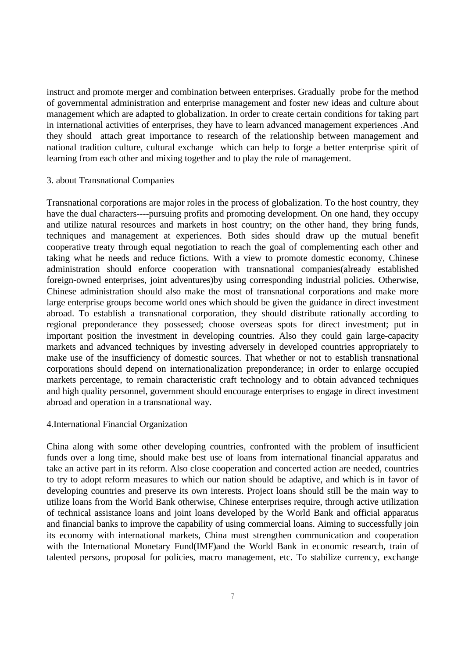instruct and promote merger and combination between enterprises. Gradually probe for the method of governmental administration and enterprise management and foster new ideas and culture about management which are adapted to globalization. In order to create certain conditions for taking part in international activities of enterprises, they have to learn advanced management experiences .And they should attach great importance to research of the relationship between management and national tradition culture, cultural exchange which can help to forge a better enterprise spirit of learning from each other and mixing together and to play the role of management.

#### 3. about Transnational Companies

Transnational corporations are major roles in the process of globalization. To the host country, they have the dual characters----pursuing profits and promoting development. On one hand, they occupy and utilize natural resources and markets in host country; on the other hand, they bring funds, techniques and management at experiences. Both sides should draw up the mutual benefit cooperative treaty through equal negotiation to reach the goal of complementing each other and taking what he needs and reduce fictions. With a view to promote domestic economy, Chinese administration should enforce cooperation with transnational companies(already established foreign-owned enterprises, joint adventures)by using corresponding industrial policies. Otherwise, Chinese administration should also make the most of transnational corporations and make more large enterprise groups become world ones which should be given the guidance in direct investment abroad. To establish a transnational corporation, they should distribute rationally according to regional preponderance they possessed; choose overseas spots for direct investment; put in important position the investment in developing countries. Also they could gain large-capacity markets and advanced techniques by investing adversely in developed countries appropriately to make use of the insufficiency of domestic sources. That whether or not to establish transnational corporations should depend on internationalization preponderance; in order to enlarge occupied markets percentage, to remain characteristic craft technology and to obtain advanced techniques and high quality personnel, government should encourage enterprises to engage in direct investment abroad and operation in a transnational way.

### 4.International Financial Organization

China along with some other developing countries, confronted with the problem of insufficient funds over a long time, should make best use of loans from international financial apparatus and take an active part in its reform. Also close cooperation and concerted action are needed, countries to try to adopt reform measures to which our nation should be adaptive, and which is in favor of developing countries and preserve its own interests. Project loans should still be the main way to utilize loans from the World Bank otherwise, Chinese enterprises require, through active utilization of technical assistance loans and joint loans developed by the World Bank and official apparatus and financial banks to improve the capability of using commercial loans. Aiming to successfully join its economy with international markets, China must strengthen communication and cooperation with the International Monetary Fund(IMF)and the World Bank in economic research, train of talented persons, proposal for policies, macro management, etc. To stabilize currency, exchange